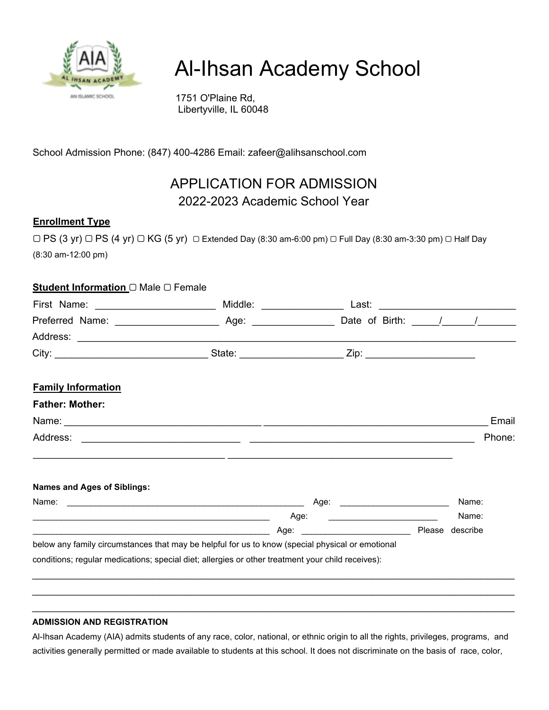

# Al-Ihsan Academy School

1751 O'Plaine Rd, Libertyville, IL 60048

School Admission Phone: (847) 400-4286 Email: zafeer@alihsanschool.com

# APPLICATION FOR ADMISSION 2022-2023 Academic School Year

#### **Enrollment Type**

|                                      | $□$ PS (3 yr) $□$ PS (4 yr) $□$ KG (5 yr) $□$ Extended Day (8:30 am-6:00 pm) $□$ Full Day (8:30 am-3:30 pm) $□$ Half Day |
|--------------------------------------|--------------------------------------------------------------------------------------------------------------------------|
| $(8:30 \text{ am}-12:00 \text{ pm})$ |                                                                                                                          |

#### **Student Information** ▢ Male ▢ Female

|                                    | Middle: _______________                                                                           | Last:                                                                                                                                                                                                                                |        |                    |
|------------------------------------|---------------------------------------------------------------------------------------------------|--------------------------------------------------------------------------------------------------------------------------------------------------------------------------------------------------------------------------------------|--------|--------------------|
|                                    |                                                                                                   |                                                                                                                                                                                                                                      |        | Date of Birth: / / |
|                                    |                                                                                                   |                                                                                                                                                                                                                                      |        |                    |
|                                    |                                                                                                   |                                                                                                                                                                                                                                      |        |                    |
| <b>Family Information</b>          |                                                                                                   |                                                                                                                                                                                                                                      |        |                    |
| <b>Father: Mother:</b>             |                                                                                                   |                                                                                                                                                                                                                                      |        |                    |
|                                    |                                                                                                   |                                                                                                                                                                                                                                      |        | Email              |
|                                    |                                                                                                   |                                                                                                                                                                                                                                      |        | Phone:             |
|                                    |                                                                                                   |                                                                                                                                                                                                                                      |        |                    |
| <b>Names and Ages of Siblings:</b> |                                                                                                   |                                                                                                                                                                                                                                      |        |                    |
| Name:                              |                                                                                                   | Age: <u>with the contract of the contract of the contract of the contract of the contract of the contract of the contract of the contract of the contract of the contract of the contract of the contract of the contract of the</u> |        | Name:              |
|                                    |                                                                                                   | Age:                                                                                                                                                                                                                                 |        | Name:              |
|                                    | Age:                                                                                              | <u> 1990 - Johann Barbara, martin a</u>                                                                                                                                                                                              | Please | describe           |
|                                    | below any family circumstances that may be helpful for us to know (special physical or emotional  |                                                                                                                                                                                                                                      |        |                    |
|                                    | conditions; regular medications; special diet; allergies or other treatment your child receives): |                                                                                                                                                                                                                                      |        |                    |
|                                    |                                                                                                   |                                                                                                                                                                                                                                      |        |                    |

#### **ADMISSION AND REGISTRATION**

Al-Ihsan Academy (AIA) admits students of any race, color, national, or ethnic origin to all the rights, privileges, programs, and activities generally permitted or made available to students at this school. It does not discriminate on the basis of race, color,

 $\_$  , and the contribution of the contribution of the contribution of the contribution of the contribution of  $\mathcal{L}_\text{max}$ \_\_\_\_\_\_\_\_\_\_\_\_\_\_\_\_\_\_\_\_\_\_\_\_\_\_\_\_\_\_\_\_\_\_\_\_\_\_\_\_\_\_\_\_\_\_\_\_\_\_\_\_\_\_\_\_\_\_\_\_\_\_\_\_\_\_\_\_\_\_\_\_\_\_\_\_\_\_\_\_\_\_\_\_\_\_\_\_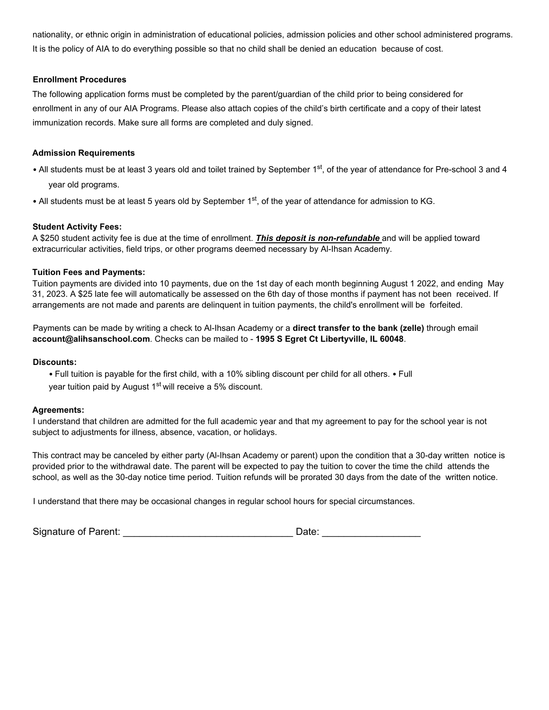nationality, or ethnic origin in administration of educational policies, admission policies and other school administered programs. It is the policy of AIA to do everything possible so that no child shall be denied an education because of cost.

#### **Enrollment Procedures**

The following application forms must be completed by the parent/guardian of the child prior to being considered for enrollment in any of our AIA Programs. Please also attach copies of the child's birth certificate and a copy of their latest immunization records. Make sure all forms are completed and duly signed.

#### **Admission Requirements**

• All students must be at least 3 years old and toilet trained by September  $1<sup>st</sup>$ , of the year of attendance for Pre-school 3 and 4 year old programs.

• All students must be at least 5 years old by September  $1<sup>st</sup>$ , of the year of attendance for admission to KG.

#### **Student Activity Fees:**

A \$250 student activity fee is due at the time of enrollment. *This deposit is non-refundable* and will be applied toward extracurricular activities, field trips, or other programs deemed necessary by Al-Ihsan Academy.

#### **Tuition Fees and Payments:**

Tuition payments are divided into 10 payments, due on the 1st day of each month beginning August 1 2022, and ending May 31, 2023. A \$25 late fee will automatically be assessed on the 6th day of those months if payment has not been received. If arrangements are not made and parents are delinquent in tuition payments, the child's enrollment will be forfeited.

Payments can be made by writing a check to Al-Ihsan Academy or a **direct transfer to the bank (zelle)** through email **account@alihsanschool.com**. Checks can be mailed to - **1995 S Egret Ct Libertyville, IL 60048**.

#### **Discounts:**

• Full tuition is payable for the first child, with a 10% sibling discount per child for all others. • Full year tuition paid by August 1<sup>st</sup> will receive a 5% discount.

#### **Agreements:**

I understand that children are admitted for the full academic year and that my agreement to pay for the school year is not subject to adjustments for illness, absence, vacation, or holidays.

This contract may be canceled by either party (Al-Ihsan Academy or parent) upon the condition that a 30-day written notice is provided prior to the withdrawal date. The parent will be expected to pay the tuition to cover the time the child attends the school, as well as the 30-day notice time period. Tuition refunds will be prorated 30 days from the date of the written notice.

Date: \_\_\_\_\_\_\_\_\_\_\_\_\_\_\_\_\_\_\_\_\_\_\_\_\_

I understand that there may be occasional changes in regular school hours for special circumstances.

| Signature of Parent: |  |
|----------------------|--|
|                      |  |